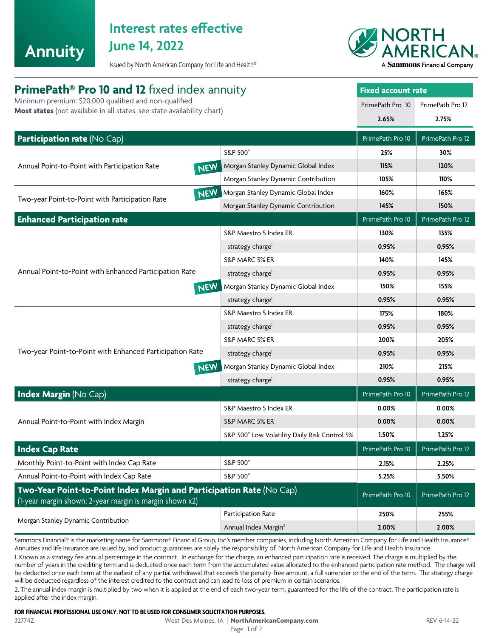

# **Interest rates effective**

Issued by North American Company for Life and Health®



| <b>PrimePath<sup>®</sup> Pro 10 and 12</b> fixed index annuity<br>Minimum premium: \$20,000 qualified and non-qualified<br>Most states (not available in all states, see state availability chart) |                                               | <b>Fixed account rate</b> |                  |
|----------------------------------------------------------------------------------------------------------------------------------------------------------------------------------------------------|-----------------------------------------------|---------------------------|------------------|
|                                                                                                                                                                                                    |                                               | PrimePath Pro 10          | PrimePath Pro 12 |
|                                                                                                                                                                                                    |                                               | 2.65%                     | 2.75%            |
| Participation rate (No Cap)                                                                                                                                                                        |                                               | PrimePath Pro 10          | PrimePath Pro 12 |
| Annual Point-to-Point with Participation Rate<br>NEW                                                                                                                                               | S&P 500°                                      | 25%                       | 30%              |
|                                                                                                                                                                                                    | Morgan Stanley Dynamic Global Index           | 115%                      | 120%             |
|                                                                                                                                                                                                    | Morgan Stanley Dynamic Contribution           | 105%                      | 110%             |
| NEW<br>Two-year Point-to-Point with Participation Rate                                                                                                                                             | Morgan Stanley Dynamic Global Index           | 160%                      | 165%             |
|                                                                                                                                                                                                    | Morgan Stanley Dynamic Contribution           | 145%                      | 150%             |
| <b>Enhanced Participation rate</b>                                                                                                                                                                 |                                               |                           | PrimePath Pro 12 |
| Annual Point-to-Point with Enhanced Participation Rate<br><b>NEW</b>                                                                                                                               | S&P Maestro 5 Index ER                        | 130%                      | 135%             |
|                                                                                                                                                                                                    | strategy charge <sup>1</sup>                  | 0.95%                     | 0.95%            |
|                                                                                                                                                                                                    | S&P MARC 5% ER                                | 140%                      | 145%             |
|                                                                                                                                                                                                    | strategy charge <sup>1</sup>                  | 0.95%                     | 0.95%            |
|                                                                                                                                                                                                    | Morgan Stanley Dynamic Global Index           | 150%                      | 155%             |
|                                                                                                                                                                                                    | strategy charge <sup>1</sup>                  | 0.95%                     | 0.95%            |
| Two-year Point-to-Point with Enhanced Participation Rate<br>NEW                                                                                                                                    | S&P Maestro 5 Index ER                        | 175%                      | 180%             |
|                                                                                                                                                                                                    | strategy charge <sup>1</sup>                  | 0.95%                     | 0.95%            |
|                                                                                                                                                                                                    | S&P MARC 5% ER                                | 200%                      | 205%             |
|                                                                                                                                                                                                    | strategy charge <sup>1</sup>                  | 0.95%                     | 0.95%            |
|                                                                                                                                                                                                    | Morgan Stanley Dynamic Global Index           | 210%                      | 215%             |
|                                                                                                                                                                                                    | strategy charge <sup>1</sup>                  | 0.95%                     | 0.95%            |
| <b>Index Margin (No Cap)</b>                                                                                                                                                                       |                                               | PrimePath Pro 10          | PrimePath Pro 12 |
| Annual Point-to-Point with Index Margin                                                                                                                                                            | S&P Maestro 5 Index ER                        | 0.00%                     | 0.00%            |
|                                                                                                                                                                                                    | S&P MARC 5% ER                                | 0.00%                     | 0.00%            |
|                                                                                                                                                                                                    | S&P 500° Low Volatility Daily Risk Control 5% | 1.50%                     | 1.25%            |
| <b>Index Cap Rate</b>                                                                                                                                                                              |                                               | PrimePath Pro 10          | PrimePath Pro 12 |
| Monthly Point-to-Point with Index Cap Rate                                                                                                                                                         | S&P 500°                                      | 2.15%                     | 2.25%            |
| Annual Point-to-Point with Index Cap Rate                                                                                                                                                          | S&P 500°                                      | 5.25%                     | 5.50%            |
| Two-Year Point-to-Point Index Margin and Participation Rate (No Cap)<br>(1-year margin shown; 2-year margin is margin shown x2)                                                                    |                                               | PrimePath Pro 10          | PrimePath Pro 12 |
| Morgan Stanley Dynamic Contribution                                                                                                                                                                | Participation Rate                            | 250%                      | 255%             |
|                                                                                                                                                                                                    | Annual Index Margin <sup>2</sup>              | 2.00%                     | 2.00%            |

Sammons Financial® is the marketing name for Sammons® Financial Group, Inc.'s member companies, including North American Company for Life and Health Insurance®. Annuities and life insurance are issued by, and product guarantees are solely the responsibility of, North American Company for Life and Health Insurance.

1. Known as a strategy fee annual percentage in the contract. In exchange for the charge, an enhanced participation rate is received. The charge is multiplied by the number of years in the crediting term and is deducted once each term from the accumulated value allocated to the enhanced participation rate method. The charge will be deducted once each term at the earliest of any partial withdrawal that exceeds the penalty-free amount, a full surrender or the end of the term. The strategy charge will be deducted regardless of the interest credited to the contract and can lead to loss of premium in certain scenarios.

2. The annual index margin is multiplied by two when it is applied at the end of each two-year term, guaranteed for the life of the contract. The participation rate is applied after the index margin.

## **FOR FINANCIAL PROFESSIONAL USE ONLY. NOT TO BE USED FOR CONSUMER SOLICITATION PURPOSES.**